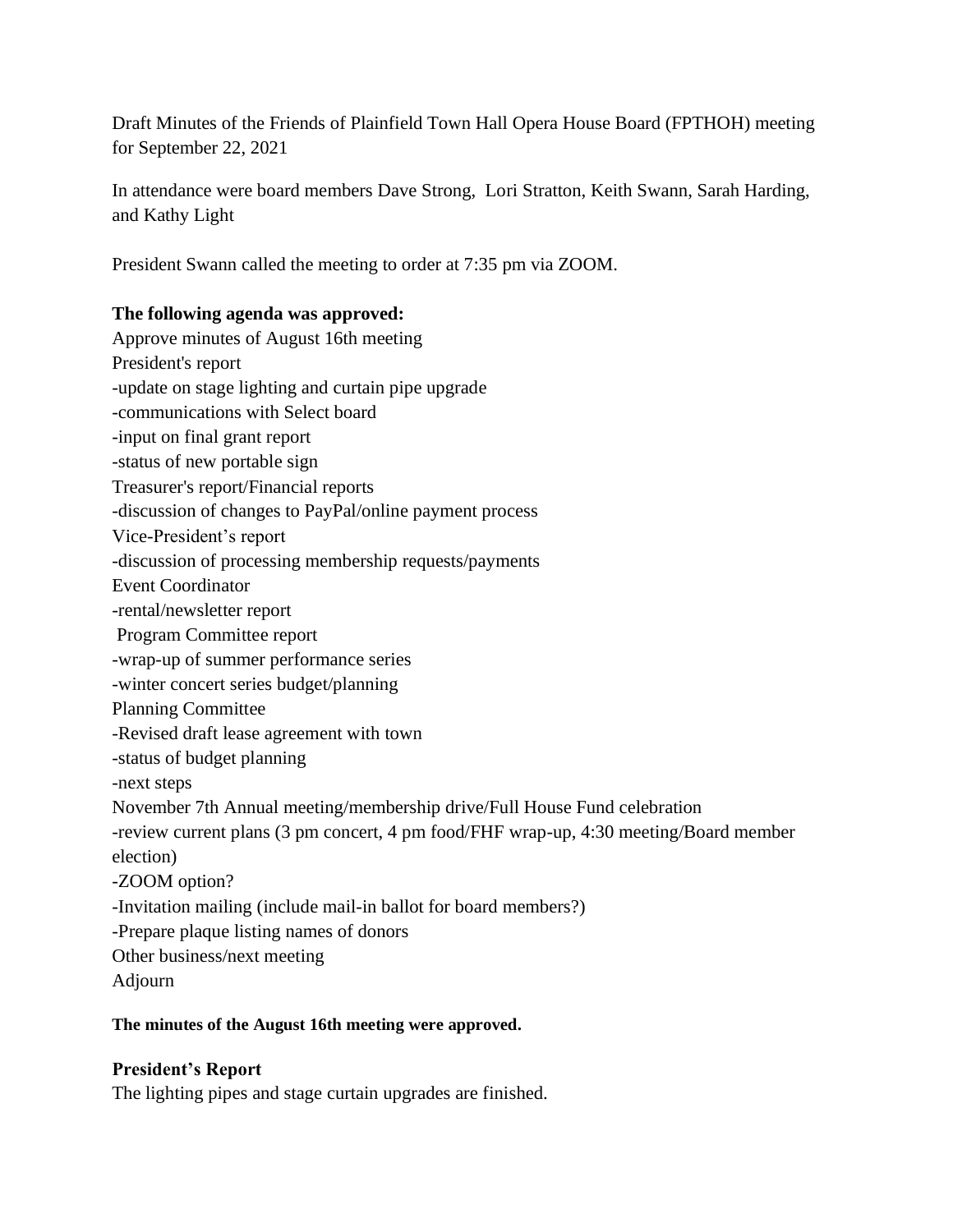Draft Minutes of the Friends of Plainfield Town Hall Opera House Board (FPTHOH) meeting for September 22, 2021

In attendance were board members Dave Strong, Lori Stratton, Keith Swann, Sarah Harding, and Kathy Light

President Swann called the meeting to order at 7:35 pm via ZOOM.

### **The following agenda was approved:**

Approve minutes of August 16th meeting President's report -update on stage lighting and curtain pipe upgrade -communications with Select board -input on final grant report -status of new portable sign Treasurer's report/Financial reports -discussion of changes to PayPal/online payment process Vice-President's report -discussion of processing membership requests/payments Event Coordinator -rental/newsletter report Program Committee report -wrap-up of summer performance series -winter concert series budget/planning Planning Committee -Revised draft lease agreement with town -status of budget planning -next steps November 7th Annual meeting/membership drive/Full House Fund celebration -review current plans (3 pm concert, 4 pm food/FHF wrap-up, 4:30 meeting/Board member election) -ZOOM option? -Invitation mailing (include mail-in ballot for board members?) -Prepare plaque listing names of donors Other business/next meeting Adjourn

### **The minutes of the August 16th meeting were approved.**

# **President's Report**

The lighting pipes and stage curtain upgrades are finished.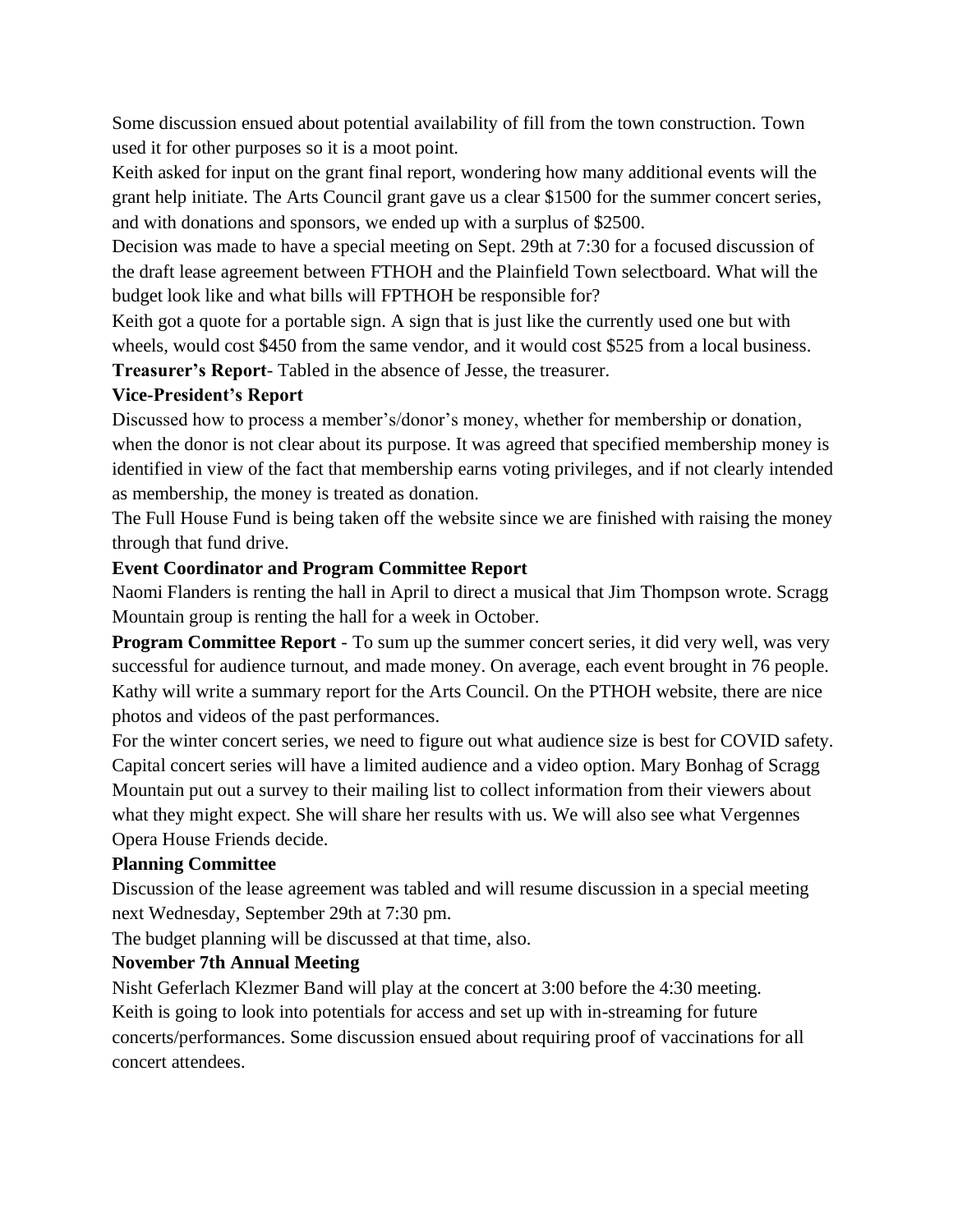Some discussion ensued about potential availability of fill from the town construction. Town used it for other purposes so it is a moot point.

Keith asked for input on the grant final report, wondering how many additional events will the grant help initiate. The Arts Council grant gave us a clear \$1500 for the summer concert series, and with donations and sponsors, we ended up with a surplus of \$2500.

Decision was made to have a special meeting on Sept. 29th at 7:30 for a focused discussion of the draft lease agreement between FTHOH and the Plainfield Town selectboard. What will the budget look like and what bills will FPTHOH be responsible for?

Keith got a quote for a portable sign. A sign that is just like the currently used one but with wheels, would cost \$450 from the same vendor, and it would cost \$525 from a local business.

**Treasurer's Report**- Tabled in the absence of Jesse, the treasurer.

### **Vice-President's Report**

Discussed how to process a member's/donor's money, whether for membership or donation, when the donor is not clear about its purpose. It was agreed that specified membership money is identified in view of the fact that membership earns voting privileges, and if not clearly intended as membership, the money is treated as donation.

The Full House Fund is being taken off the website since we are finished with raising the money through that fund drive.

# **Event Coordinator and Program Committee Report**

Naomi Flanders is renting the hall in April to direct a musical that Jim Thompson wrote. Scragg Mountain group is renting the hall for a week in October.

**Program Committee Report** - To sum up the summer concert series, it did very well, was very successful for audience turnout, and made money. On average, each event brought in 76 people. Kathy will write a summary report for the Arts Council. On the PTHOH website, there are nice photos and videos of the past performances.

For the winter concert series, we need to figure out what audience size is best for COVID safety. Capital concert series will have a limited audience and a video option. Mary Bonhag of Scragg Mountain put out a survey to their mailing list to collect information from their viewers about what they might expect. She will share her results with us. We will also see what Vergennes Opera House Friends decide.

# **Planning Committee**

Discussion of the lease agreement was tabled and will resume discussion in a special meeting next Wednesday, September 29th at 7:30 pm.

The budget planning will be discussed at that time, also.

# **November 7th Annual Meeting**

Nisht Geferlach Klezmer Band will play at the concert at 3:00 before the 4:30 meeting. Keith is going to look into potentials for access and set up with in-streaming for future concerts/performances. Some discussion ensued about requiring proof of vaccinations for all concert attendees.